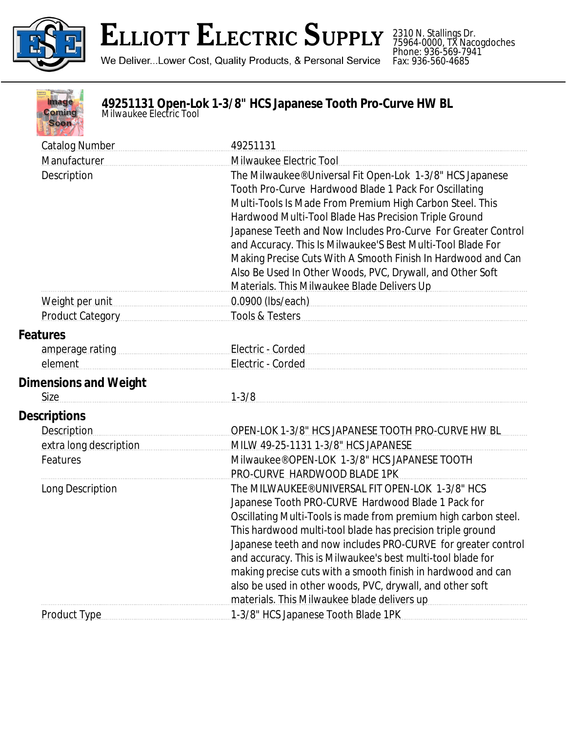

## **ELLIOTT ELECTRIC SUPPLY**

We Deliver...Lower Cost, Quality Products, & Personal Service

2310 N. Stallings Dr. 75964-0000, TX Nacogdoches Phone: 936-569-7941 Fax: 936-560-4685



## **49251131 Open-Lok 1-3/8" HCS Japanese Tooth Pro-Curve HW BL** *Milwaukee Electric Tool*

| <b>Catalog Number</b>                                                                                          | 49251131                                                                                                                                                                                                                                                                                                                                                                                                                                                                                                                                            |
|----------------------------------------------------------------------------------------------------------------|-----------------------------------------------------------------------------------------------------------------------------------------------------------------------------------------------------------------------------------------------------------------------------------------------------------------------------------------------------------------------------------------------------------------------------------------------------------------------------------------------------------------------------------------------------|
| Manufacturer                                                                                                   | Milwaukee Electric Tool                                                                                                                                                                                                                                                                                                                                                                                                                                                                                                                             |
| Description                                                                                                    | The Milwaukee® Universal Fit Open-Lok 1-3/8" HCS Japanese<br>Tooth Pro-Curve Hardwood Blade 1 Pack For Oscillating<br>Multi-Tools Is Made From Premium High Carbon Steel. This<br>Hardwood Multi-Tool Blade Has Precision Triple Ground<br>Japanese Teeth and Now Includes Pro-Curve For Greater Control<br>and Accuracy. This Is Milwaukee'S Best Multi-Tool Blade For<br>Making Precise Cuts With A Smooth Finish In Hardwood and Can<br>Also Be Used In Other Woods, PVC, Drywall, and Other Soft                                                |
|                                                                                                                | Materials. This Milwaukee Blade Delivers Up                                                                                                                                                                                                                                                                                                                                                                                                                                                                                                         |
| Weight per unit                                                                                                | 0.0900 (lbs/each) example and the state of the state of the state of the state of the state of the state of the state of the state of the state of the state of the state of the state of the state of the state of the state<br>Tools & Testers                                                                                                                                                                                                                                                                                                    |
| Product Category                                                                                               |                                                                                                                                                                                                                                                                                                                                                                                                                                                                                                                                                     |
| <b>Features</b>                                                                                                |                                                                                                                                                                                                                                                                                                                                                                                                                                                                                                                                                     |
| amperage rating measurements are all and a manuscript of the sense of the sense of the sense of the sense of t | Electric - Corded                                                                                                                                                                                                                                                                                                                                                                                                                                                                                                                                   |
| element                                                                                                        | Electric - Corded                                                                                                                                                                                                                                                                                                                                                                                                                                                                                                                                   |
| <b>Dimensions and Weight</b>                                                                                   |                                                                                                                                                                                                                                                                                                                                                                                                                                                                                                                                                     |
| Size                                                                                                           | $1 - 3/8$                                                                                                                                                                                                                                                                                                                                                                                                                                                                                                                                           |
| <b>Descriptions</b>                                                                                            |                                                                                                                                                                                                                                                                                                                                                                                                                                                                                                                                                     |
| <b>Description</b>                                                                                             | OPEN-LOK 1-3/8" HCS JAPANESE TOOTH PRO-CURVE HW BL                                                                                                                                                                                                                                                                                                                                                                                                                                                                                                  |
| extra long description                                                                                         | MILW 49-25-1131 1-3/8" HCS JAPANESE                                                                                                                                                                                                                                                                                                                                                                                                                                                                                                                 |
| Features                                                                                                       | Milwaukee® OPEN-LOK 1-3/8" HCS JAPANESE TOOTH                                                                                                                                                                                                                                                                                                                                                                                                                                                                                                       |
|                                                                                                                | PRO-CURVE HARDWOOD BLADE 1PK                                                                                                                                                                                                                                                                                                                                                                                                                                                                                                                        |
| Long Description                                                                                               | The MILWAUKEE® UNIVERSAL FIT OPEN-LOK 1-3/8" HCS<br>Japanese Tooth PRO-CURVE Hardwood Blade 1 Pack for<br>Oscillating Multi-Tools is made from premium high carbon steel.<br>This hardwood multi-tool blade has precision triple ground<br>Japanese teeth and now includes PRO-CURVE for greater control<br>and accuracy. This is Milwaukee's best multi-tool blade for<br>making precise cuts with a smooth finish in hardwood and can<br>also be used in other woods, PVC, drywall, and other soft<br>materials. This Milwaukee blade delivers up |
| <b>Product Type</b>                                                                                            | 1-3/8" HCS Japanese Tooth Blade 1PK                                                                                                                                                                                                                                                                                                                                                                                                                                                                                                                 |